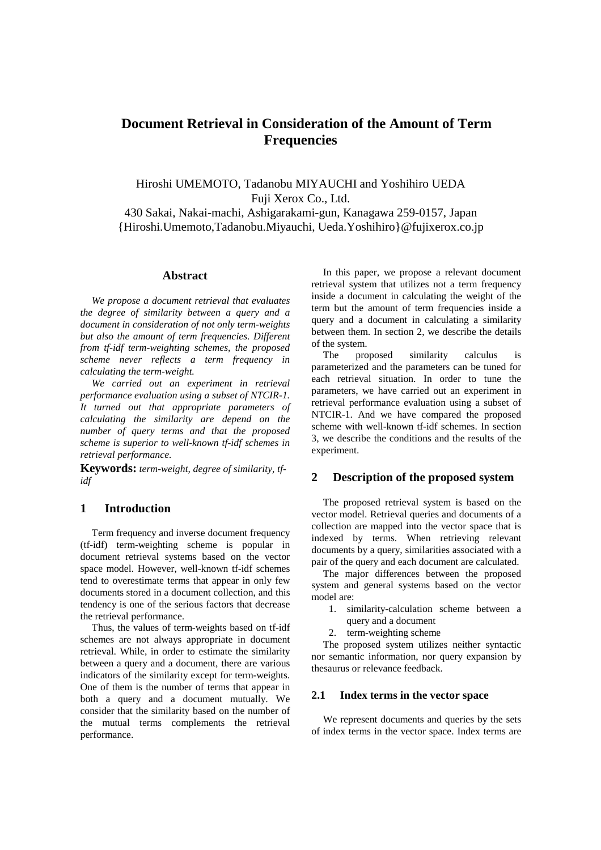# **Document Retrieval in Consideration of the Amount of Term Frequencies**

Hiroshi UMEMOTO, Tadanobu MIYAUCHI and Yoshihiro UEDA Fuji Xerox Co., Ltd.

430 Sakai, Nakai-machi, Ashigarakami-gun, Kanagawa 259-0157, Japan {Hiroshi.Umemoto,Tadanobu.Miyauchi, Ueda.Yoshihiro}@fujixerox.co.jp

## **Abstract**

*We propose a document retrieval that evaluates the degree of similarity between a query and a document in consideration of not only term-weights but also the amount of term frequencies. Different from tf-idf term-weighting schemes, the proposed scheme never reflects a term frequency in calculating the term-weight.*

*We carried out an experiment in retrieval performance evaluation using a subset of NTCIR-1. It turned out that appropriate parameters of calculating the similarity are depend on the number of query terms and that the proposed scheme is superior to well-known tf-idf schemes in retrieval performance.*

**Keywords:** *term-weight, degree of similarity, tfidf*

## **1 Introduction**

Term frequency and inverse document frequency (tf-idf) term-weighting scheme is popular in document retrieval systems based on the vector space model. However, well-known tf-idf schemes tend to overestimate terms that appear in only few documents stored in a document collection, and this tendency is one of the serious factors that decrease the retrieval performance.

Thus, the values of term-weights based on tf-idf schemes are not always appropriate in document retrieval. While, in order to estimate the similarity between a query and a document, there are various indicators of the similarity except for term-weights. One of them is the number of terms that appear in both a query and a document mutually. We consider that the similarity based on the number of the mutual terms complements the retrieval performance.

In this paper, we propose a relevant document retrieval system that utilizes not a term frequency inside a document in calculating the weight of the term but the amount of term frequencies inside a query and a document in calculating a similarity between them. In section 2, we describe the details of the system.

The proposed similarity calculus is parameterized and the parameters can be tuned for each retrieval situation. In order to tune the parameters, we have carried out an experiment in retrieval performance evaluation using a subset of NTCIR-1. And we have compared the proposed scheme with well-known tf-idf schemes. In section 3, we describe the conditions and the results of the experiment.

## **2 Description of the proposed system**

The proposed retrieval system is based on the vector model. Retrieval queries and documents of a collection are mapped into the vector space that is indexed by terms. When retrieving relevant documents by a query, similarities associated with a pair of the query and each document are calculated.

The major differences between the proposed system and general systems based on the vector model are:

- 1. similarity-calculation scheme between a
- query and a document
- 2. term-weighting scheme

The proposed system utilizes neither syntactic nor semantic information, nor query expansion by thesaurus or relevance feedback.

### **2.1 Index terms in the vector space**

We represent documents and queries by the sets of index terms in the vector space. Index terms are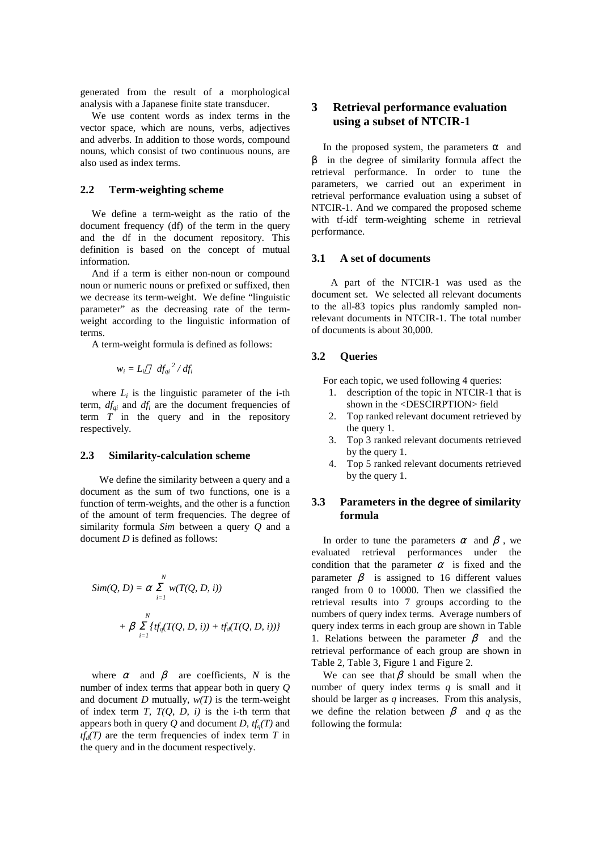generated from the result of a morphological analysis with a Japanese finite state transducer.

We use content words as index terms in the vector space, which are nouns, verbs, adjectives and adverbs. In addition to those words, compound nouns, which consist of two continuous nouns, are also used as index terms.

### **2.2 Term-weighting scheme**

We define a term-weight as the ratio of the document frequency (df) of the term in the query and the df in the document repository. This definition is based on the concept of mutual information.

And if a term is either non-noun or compound noun or numeric nouns or prefixed or suffixed, then we decrease its term-weight. We define "linguistic parameter" as the decreasing rate of the termweight according to the linguistic information of terms.

A term-weight formula is defined as follows:

$$
w_i = L_i \t df_{qi}^2 / df_i
$$

where  $L_i$  is the linguistic parameter of the i-th term,  $df_{qi}$  and  $df_i$  are the document frequencies of term  $\overline{T}$  in the query and in the repository respectively.

#### **2.3 Similarity-calculation scheme**

 We define the similarity between a query and a document as the sum of two functions, one is a function of term-weights, and the other is a function of the amount of term frequencies. The degree of similarity formula *Sim* between a query *Q* and a document *D* is defined as follows:

$$
Sim(Q, D) = \sum_{i=1}^{N} w(T(Q, D, i))
$$
  
+ 
$$
\int_{i=1}^{N} \{tf_q(T(Q, D, i)) + tf_d(T(Q, D, i))\}
$$

where and are coefficients, *N* is the number of index terms that appear both in query *Q* and document *D* mutually,  $w(T)$  is the term-weight of index term  $T$ ,  $T(Q, D, i)$  is the i-th term that appears both in query  $Q$  and document  $D$ ,  $tf_a(T)$  and  $tf_d(T)$  are the term frequencies of index term *T* in the query and in the document respectively.

## **3 Retrieval performance evaluation using a subset of NTCIR-1**

In the proposed system, the parameters and in the degree of similarity formula affect the retrieval performance. In order to tune the parameters, we carried out an experiment in retrieval performance evaluation using a subset of NTCIR-1. And we compared the proposed scheme with tf-idf term-weighting scheme in retrieval performance.

## **3.1 A set of documents**

 A part of the NTCIR-1 was used as the document set. We selected all relevant documents to the all-83 topics plus randomly sampled nonrelevant documents in NTCIR-1. The total number of documents is about 30,000.

## **3.2 Queries**

For each topic, we used following 4 queries:

- 1. description of the topic in NTCIR-1 that is shown in the <DESCIRPTION> field
- 2. Top ranked relevant document retrieved by the query 1.
- 3. Top 3 ranked relevant documents retrieved by the query 1.
- 4. Top 5 ranked relevant documents retrieved by the query 1.

## **3.3 Parameters in the degree of similarity formula**

In order to tune the parameters and , we evaluated retrieval performances under the condition that the parameter is fixed and the parameter is assigned to 16 different values ranged from 0 to 10000. Then we classified the retrieval results into 7 groups according to the numbers of query index terms. Average numbers of query index terms in each group are shown in Table 1. Relations between the parameter and the retrieval performance of each group are shown in Table 2, Table 3, Figure 1 and Figure 2.

We can see that should be small when the number of query index terms *q* is small and it should be larger as *q* increases. From this analysis, we define the relation between and *q* as the following the formula: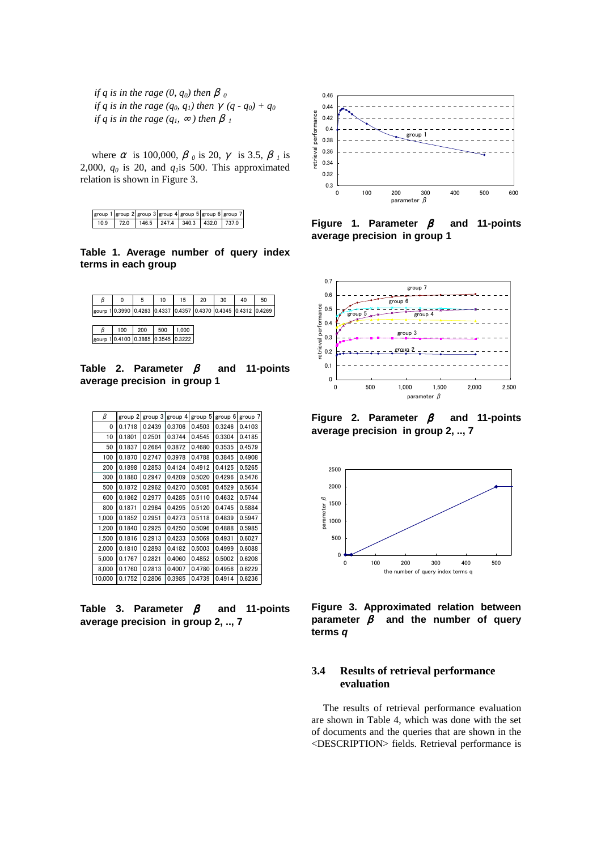*if q is in the rage*  $(0, q_0)$  then  $\theta$ *if q is in the rage (q<sub>0</sub>, q<sub>1</sub>) then (q - q<sub>0</sub>) + q<sub>0</sub> if q is in the rage*  $(q_1, \ldots)$  *then* 

where is 100,000, *0* is 20, is 3.5, *1* is 2,000,  $q_0$  is 20, and  $q_1$ is 500. This approximated relation is shown in Figure 3.

|      |      |                                 |  | group 1  group 2  group 3  group 4  group 5  group 6  group 7 |
|------|------|---------------------------------|--|---------------------------------------------------------------|
| 10.9 | 72.0 | $146.5$ 247.4 340.3 432.0 737.0 |  |                                                               |

**Table 1. Average number of query index terms in each group**

| ß | 0   | 5                                                              | 10  | 15   | 20 | 30 | 40 | 50 |
|---|-----|----------------------------------------------------------------|-----|------|----|----|----|----|
|   |     | gourp 10.3990 0.4263 0.4337 0.4357 0.4370 0.4345 0.4312 0.4269 |     |      |    |    |    |    |
|   |     |                                                                |     |      |    |    |    |    |
| β | 100 | 200                                                            | 500 | .000 |    |    |    |    |

gourp 1 0.4100 0.3865 0.3545 0.3222

**Table 2. Parameter and 11-points average precision in group 1**

| β      | group 2 | group 3 | group 4 | group 5 | group 6 | group 7 |
|--------|---------|---------|---------|---------|---------|---------|
| 0      | 0.1718  | 0.2439  | 0.3706  | 0.4503  | 0.3246  | 0.4103  |
| 10     | 0.1801  | 0.2501  | 0.3744  | 0.4545  | 0.3304  | 0.4185  |
| 50     | 0.1837  | 0.2664  | 0.3872  | 0.4680  | 0.3535  | 0.4579  |
| 100    | 0.1870  | 0.2747  | 0.3978  | 0.4788  | 0.3845  | 0.4908  |
| 200    | 0.1898  | 0.2853  | 0.4124  | 0.4912  | 0.4125  | 0.5265  |
| 300    | 0.1880  | 0.2947  | 0.4209  | 0.5020  | 0.4296  | 0.5476  |
| 500    | 0.1872  | 0.2962  | 0.4270  | 0.5085  | 0.4529  | 0.5654  |
| 600    | 0.1862  | 0.2977  | 0.4285  | 0.5110  | 0.4632  | 0.5744  |
| 800    | 0.1871  | 0.2964  | 0.4295  | 0.5120  | 0.4745  | 0.5884  |
| 1.000  | 0.1852  | 0.2951  | 0.4273  | 0.5118  | 0.4839  | 0.5947  |
| 1,200  | 0.1840  | 0.2925  | 0.4250  | 0.5096  | 0.4888  | 0.5985  |
| 1.500  | 0.1816  | 0.2913  | 0.4233  | 0.5069  | 0.4931  | 0.6027  |
| 2.000  | 0.1810  | 0.2893  | 0.4182  | 0.5003  | 0.4999  | 0.6088  |
| 5.000  | 0.1767  | 0.2821  | 0.4060  | 0.4852  | 0.5002  | 0.6208  |
| 8.000  | 0.1760  | 0.2813  | 0.4007  | 0.4780  | 0.4956  | 0.6229  |
| 10,000 | 0.1752  | 0.2806  | 0.3985  | 0.4739  | 0.4914  | 0.6236  |

**Table 3. Parameter and 11-points average precision in group 2, .., 7**



**Figure 1. Parameter and 11-points average precision in group 1**



**Figure 2. Parameter and 11-points average precision in group 2, .., 7**



**Figure 3. Approximated relation between parameter and the number of query terms** *q*

## **3.4 Results of retrieval performance evaluation**

The results of retrieval performance evaluation are shown in Table 4, which was done with the set of documents and the queries that are shown in the <DESCRIPTION> fields. Retrieval performance is